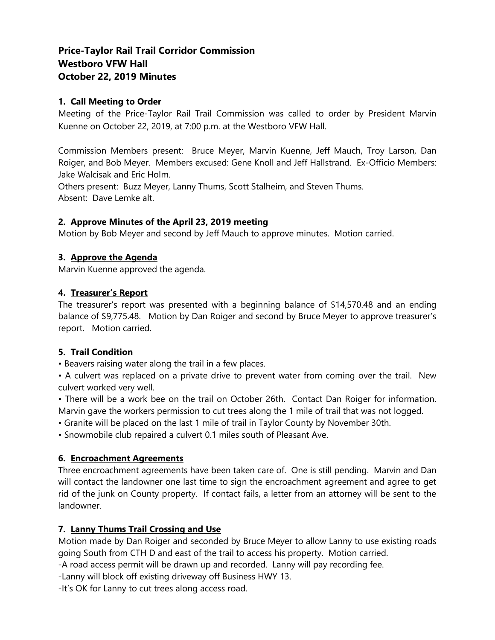# **Price-Taylor Rail Trail Corridor Commission Westboro VFW Hall October 22, 2019 Minutes**

# **1. Call Meeting to Order**

Meeting of the Price-Taylor Rail Trail Commission was called to order by President Marvin Kuenne on October 22, 2019, at 7:00 p.m. at the Westboro VFW Hall.

Commission Members present: Bruce Meyer, Marvin Kuenne, Jeff Mauch, Troy Larson, Dan Roiger, and Bob Meyer. Members excused: Gene Knoll and Jeff Hallstrand. Ex-Officio Members: Jake Walcisak and Eric Holm.

Others present: Buzz Meyer, Lanny Thums, Scott Stalheim, and Steven Thums. Absent: Dave Lemke alt.

# **2. Approve Minutes of the April 23, 2019 meeting**

Motion by Bob Meyer and second by Jeff Mauch to approve minutes. Motion carried.

# **3. Approve the Agenda**

Marvin Kuenne approved the agenda.

## **4. Treasurer's Report**

The treasurer's report was presented with a beginning balance of \$14,570.48 and an ending balance of \$9,775.48. Motion by Dan Roiger and second by Bruce Meyer to approve treasurer's report. Motion carried.

# **5. Trail Condition**

• Beavers raising water along the trail in a few places.

• A culvert was replaced on a private drive to prevent water from coming over the trail. New culvert worked very well.

• There will be a work bee on the trail on October 26th. Contact Dan Roiger for information. Marvin gave the workers permission to cut trees along the 1 mile of trail that was not logged.

• Granite will be placed on the last 1 mile of trail in Taylor County by November 30th.

• Snowmobile club repaired a culvert 0.1 miles south of Pleasant Ave.

# **6. Encroachment Agreements**

Three encroachment agreements have been taken care of. One is still pending. Marvin and Dan will contact the landowner one last time to sign the encroachment agreement and agree to get rid of the junk on County property. If contact fails, a letter from an attorney will be sent to the landowner.

# **7. Lanny Thums Trail Crossing and Use**

Motion made by Dan Roiger and seconded by Bruce Meyer to allow Lanny to use existing roads going South from CTH D and east of the trail to access his property. Motion carried.

-A road access permit will be drawn up and recorded. Lanny will pay recording fee.

-Lanny will block off existing driveway off Business HWY 13.

-It's OK for Lanny to cut trees along access road.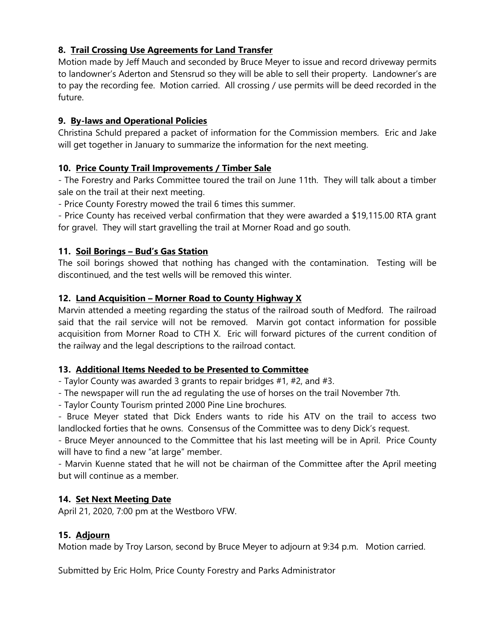# **8. Trail Crossing Use Agreements for Land Transfer**

Motion made by Jeff Mauch and seconded by Bruce Meyer to issue and record driveway permits to landowner's Aderton and Stensrud so they will be able to sell their property. Landowner's are to pay the recording fee. Motion carried. All crossing / use permits will be deed recorded in the future.

# **9. By-laws and Operational Policies**

Christina Schuld prepared a packet of information for the Commission members. Eric and Jake will get together in January to summarize the information for the next meeting.

# **10. Price County Trail Improvements / Timber Sale**

- The Forestry and Parks Committee toured the trail on June 11th. They will talk about a timber sale on the trail at their next meeting.

- Price County Forestry mowed the trail 6 times this summer.

- Price County has received verbal confirmation that they were awarded a \$19,115.00 RTA grant for gravel. They will start gravelling the trail at Morner Road and go south.

## **11. Soil Borings – Bud's Gas Station**

The soil borings showed that nothing has changed with the contamination. Testing will be discontinued, and the test wells will be removed this winter.

## **12. Land Acquisition – Morner Road to County Highway X**

Marvin attended a meeting regarding the status of the railroad south of Medford. The railroad said that the rail service will not be removed. Marvin got contact information for possible acquisition from Morner Road to CTH X. Eric will forward pictures of the current condition of the railway and the legal descriptions to the railroad contact.

#### **13. Additional Items Needed to be Presented to Committee**

- Taylor County was awarded 3 grants to repair bridges #1, #2, and #3.

- The newspaper will run the ad regulating the use of horses on the trail November 7th.

- Taylor County Tourism printed 2000 Pine Line brochures.

- Bruce Meyer stated that Dick Enders wants to ride his ATV on the trail to access two landlocked forties that he owns. Consensus of the Committee was to deny Dick's request.

- Bruce Meyer announced to the Committee that his last meeting will be in April. Price County will have to find a new "at large" member.

- Marvin Kuenne stated that he will not be chairman of the Committee after the April meeting but will continue as a member.

#### **14. Set Next Meeting Date**

April 21, 2020, 7:00 pm at the Westboro VFW.

# **15. Adjourn**

Motion made by Troy Larson, second by Bruce Meyer to adjourn at 9:34 p.m. Motion carried.

Submitted by Eric Holm, Price County Forestry and Parks Administrator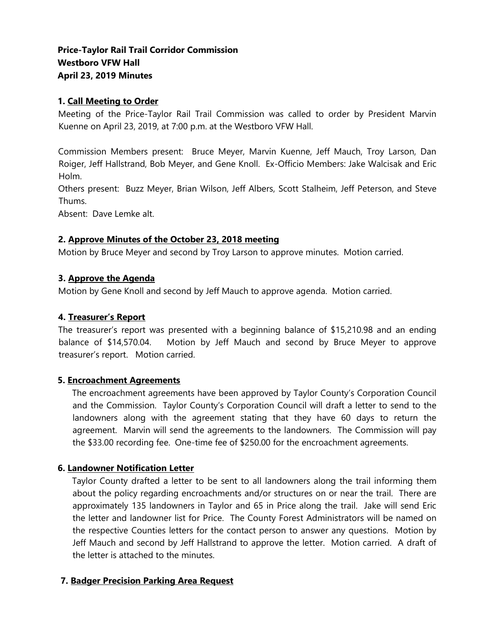# **Price-Taylor Rail Trail Corridor Commission Westboro VFW Hall April 23, 2019 Minutes**

## **1. Call Meeting to Order**

Meeting of the Price-Taylor Rail Trail Commission was called to order by President Marvin Kuenne on April 23, 2019, at 7:00 p.m. at the Westboro VFW Hall.

Commission Members present: Bruce Meyer, Marvin Kuenne, Jeff Mauch, Troy Larson, Dan Roiger, Jeff Hallstrand, Bob Meyer, and Gene Knoll. Ex-Officio Members: Jake Walcisak and Eric Holm.

Others present: Buzz Meyer, Brian Wilson, Jeff Albers, Scott Stalheim, Jeff Peterson, and Steve Thums.

Absent: Dave Lemke alt.

## **2. Approve Minutes of the October 23, 2018 meeting**

Motion by Bruce Meyer and second by Troy Larson to approve minutes. Motion carried.

## **3. Approve the Agenda**

Motion by Gene Knoll and second by Jeff Mauch to approve agenda. Motion carried.

## **4. Treasurer's Report**

The treasurer's report was presented with a beginning balance of \$15,210.98 and an ending balance of \$14,570.04. Motion by Jeff Mauch and second by Bruce Meyer to approve treasurer's report. Motion carried.

#### **5. Encroachment Agreements**

The encroachment agreements have been approved by Taylor County's Corporation Council and the Commission. Taylor County's Corporation Council will draft a letter to send to the landowners along with the agreement stating that they have 60 days to return the agreement. Marvin will send the agreements to the landowners. The Commission will pay the \$33.00 recording fee. One-time fee of \$250.00 for the encroachment agreements.

#### **6. Landowner Notification Letter**

Taylor County drafted a letter to be sent to all landowners along the trail informing them about the policy regarding encroachments and/or structures on or near the trail. There are approximately 135 landowners in Taylor and 65 in Price along the trail. Jake will send Eric the letter and landowner list for Price. The County Forest Administrators will be named on the respective Counties letters for the contact person to answer any questions. Motion by Jeff Mauch and second by Jeff Hallstrand to approve the letter. Motion carried. A draft of the letter is attached to the minutes.

#### **7. Badger Precision Parking Area Request**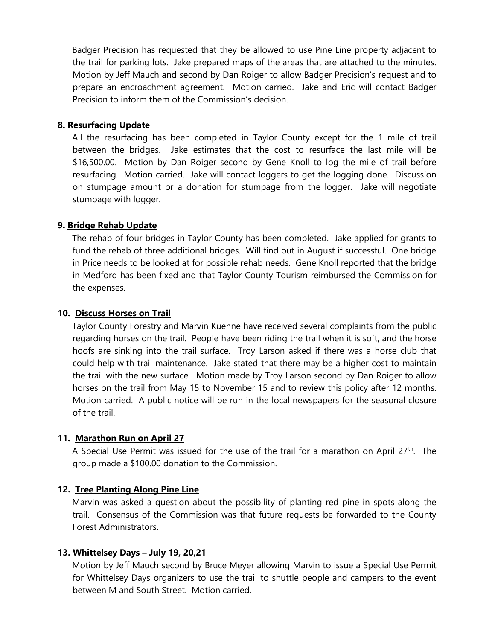Badger Precision has requested that they be allowed to use Pine Line property adjacent to the trail for parking lots. Jake prepared maps of the areas that are attached to the minutes. Motion by Jeff Mauch and second by Dan Roiger to allow Badger Precision's request and to prepare an encroachment agreement. Motion carried. Jake and Eric will contact Badger Precision to inform them of the Commission's decision.

## **8. Resurfacing Update**

All the resurfacing has been completed in Taylor County except for the 1 mile of trail between the bridges. Jake estimates that the cost to resurface the last mile will be \$16,500.00. Motion by Dan Roiger second by Gene Knoll to log the mile of trail before resurfacing. Motion carried. Jake will contact loggers to get the logging done. Discussion on stumpage amount or a donation for stumpage from the logger. Jake will negotiate stumpage with logger.

# **9. Bridge Rehab Update**

The rehab of four bridges in Taylor County has been completed. Jake applied for grants to fund the rehab of three additional bridges. Will find out in August if successful. One bridge in Price needs to be looked at for possible rehab needs. Gene Knoll reported that the bridge in Medford has been fixed and that Taylor County Tourism reimbursed the Commission for the expenses.

## **10. Discuss Horses on Trail**

Taylor County Forestry and Marvin Kuenne have received several complaints from the public regarding horses on the trail. People have been riding the trail when it is soft, and the horse hoofs are sinking into the trail surface. Troy Larson asked if there was a horse club that could help with trail maintenance. Jake stated that there may be a higher cost to maintain the trail with the new surface. Motion made by Troy Larson second by Dan Roiger to allow horses on the trail from May 15 to November 15 and to review this policy after 12 months. Motion carried. A public notice will be run in the local newspapers for the seasonal closure of the trail.

# **11. Marathon Run on April 27**

A Special Use Permit was issued for the use of the trail for a marathon on April 27<sup>th</sup>. The group made a \$100.00 donation to the Commission.

#### **12. Tree Planting Along Pine Line**

Marvin was asked a question about the possibility of planting red pine in spots along the trail. Consensus of the Commission was that future requests be forwarded to the County Forest Administrators.

#### **13. Whittelsey Days – July 19, 20,21**

Motion by Jeff Mauch second by Bruce Meyer allowing Marvin to issue a Special Use Permit for Whittelsey Days organizers to use the trail to shuttle people and campers to the event between M and South Street. Motion carried.